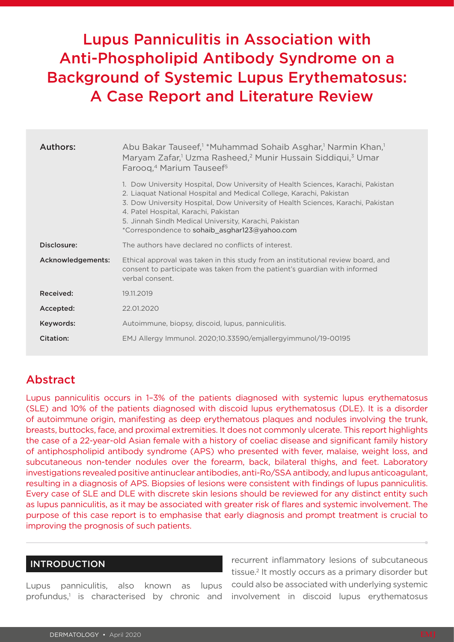# Lupus Panniculitis in Association with Anti-Phospholipid Antibody Syndrome on a Background of Systemic Lupus Erythematosus: A Case Report and Literature Review

| Authors:          | Abu Bakar Tauseef, Muhammad Sohaib Asghar, Narmin Khan,<br>Maryam Zafar, <sup>1</sup> Uzma Rasheed, <sup>2</sup> Munir Hussain Siddiqui, <sup>3</sup> Umar<br>Farooq, <sup>4</sup> Marium Tauseef <sup>5</sup>                                                                                                                                                                                |
|-------------------|-----------------------------------------------------------------------------------------------------------------------------------------------------------------------------------------------------------------------------------------------------------------------------------------------------------------------------------------------------------------------------------------------|
|                   | 1. Dow University Hospital, Dow University of Health Sciences, Karachi, Pakistan<br>2. Liaquat National Hospital and Medical College, Karachi, Pakistan<br>3. Dow University Hospital, Dow University of Health Sciences, Karachi, Pakistan<br>4. Patel Hospital, Karachi, Pakistan<br>5. Jinnah Sindh Medical University, Karachi, Pakistan<br>*Correspondence to sohaib asghar123@yahoo.com |
| Disclosure:       | The authors have declared no conflicts of interest.                                                                                                                                                                                                                                                                                                                                           |
| Acknowledgements: | Ethical approval was taken in this study from an institutional review board, and<br>consent to participate was taken from the patient's guardian with informed<br>verbal consent.                                                                                                                                                                                                             |
| Received:         | 19.11.2019                                                                                                                                                                                                                                                                                                                                                                                    |
| Accepted:         | 22.01.2020                                                                                                                                                                                                                                                                                                                                                                                    |
| Keywords:         | Autoimmune, biopsy, discoid, lupus, panniculitis.                                                                                                                                                                                                                                                                                                                                             |
| Citation:         | EMJ Allergy Immunol. 2020;10.33590/emjallergyimmunol/19-00195                                                                                                                                                                                                                                                                                                                                 |

## Abstract

Lupus panniculitis occurs in 1–3% of the patients diagnosed with systemic lupus erythematosus (SLE) and 10% of the patients diagnosed with discoid lupus erythematosus (DLE). It is a disorder of autoimmune origin, manifesting as deep erythematous plaques and nodules involving the trunk, breasts, buttocks, face, and proximal extremities. It does not commonly ulcerate. This report highlights the case of a 22-year-old Asian female with a history of coeliac disease and significant family history of antiphospholipid antibody syndrome (APS) who presented with fever, malaise, weight loss, and subcutaneous non-tender nodules over the forearm, back, bilateral thighs, and feet. Laboratory investigations revealed positive antinuclear antibodies, anti-Ro/SSA antibody, and lupus anticoagulant, resulting in a diagnosis of APS. Biopsies of lesions were consistent with findings of lupus panniculitis. Every case of SLE and DLE with discrete skin lesions should be reviewed for any distinct entity such as lupus panniculitis, as it may be associated with greater risk of flares and systemic involvement. The purpose of this case report is to emphasise that early diagnosis and prompt treatment is crucial to improving the prognosis of such patients.

#### INTRODUCTION

Lupus panniculitis, also known as lupus profundus,<sup>1</sup> is characterised by chronic and

recurrent inflammatory lesions of subcutaneous tissue.2 It mostly occurs as a primary disorder but could also be associated with underlying systemic involvement in discoid lupus erythematosus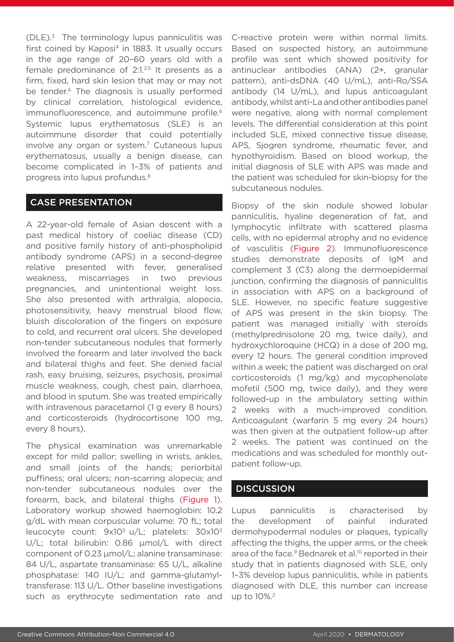$(DLE)^3$  The terminology lupus panniculitis was first coined by Kaposi $4$  in 1883. It usually occurs in the age range of 20–60 years old with a female predominance of  $2:1^{2,5}$  It presents as a firm, fixed, hard skin lesion that may or may not be tender.<sup>6</sup> The diagnosis is usually performed by clinical correlation, histological evidence, immunofluorescence, and autoimmune profile.<sup>6</sup> Systemic lupus erythematosus (SLE) is an autoimmune disorder that could potentially involve any organ or system.<sup>7</sup> Cutaneous lupus erythematosus, usually a benign disease, can become complicated in 1–3% of patients and progress into lupus profundus.8

### CASE PRESENTATION

A 22-year-old female of Asian descent with a past medical history of coeliac disease (CD) and positive family history of anti-phospholipid antibody syndrome (APS) in a second-degree relative presented with fever, generalised weakness, miscarriages in two previous pregnancies, and unintentional weight loss. She also presented with arthralgia, alopecia, photosensitivity, heavy menstrual blood flow, bluish discoloration of the fingers on exposure to cold, and recurrent oral ulcers. She developed non-tender subcutaneous nodules that formerly involved the forearm and later involved the back and bilateral thighs and feet. She denied facial rash, easy bruising, seizures, psychosis, proximal muscle weakness, cough, chest pain, diarrhoea, and blood in sputum. She was treated empirically with intravenous paracetamol (1 g every 8 hours) and corticosteroids (hydrocortisone 100 mg, every 8 hours).

The physical examination was unremarkable except for mild pallor; swelling in wrists, ankles, and small joints of the hands; periorbital puffiness; oral ulcers; non-scarring alopecia; and non-tender subcutaneous nodules over the forearm, back, and bilateral thighs (Figure 1). Laboratory workup showed haemoglobin: 10.2 g/dL with mean corpuscular volume: 70 fL; total leucocyte count: 9x10<sup>3</sup> u/L; platelets: 30x10<sup>3</sup> U/L; total bilirubin: 0.86 µmol/L with direct component of 0.23 µmol/L; alanine transaminase: 84 U/L, aspartate transaminase: 65 U/L, alkaline phosphatase: 140 IU/L; and gamma-glutamyltransferase: 113 U/L. Other baseline investigations such as erythrocyte sedimentation rate and

C-reactive protein were within normal limits. Based on suspected history, an autoimmune profile was sent which showed positivity for antinuclear antibodies (ANA) (2+, granular pattern), anti-dsDNA (40 U/mL), anti-Ro/SSA antibody (14 U/mL), and lupus anticoagulant antibody, whilst anti-La and other antibodies panel were negative, along with normal complement levels. The differential consideration at this point included SLE, mixed connective tissue disease, APS, Sjogren syndrome, rheumatic fever, and hypothyroidism. Based on blood workup, the initial diagnosis of SLE with APS was made and the patient was scheduled for skin-biopsy for the subcutaneous nodules.

Biopsy of the skin nodule showed lobular panniculitis, hyaline degeneration of fat, and lymphocytic infiltrate with scattered plasma cells, with no epidermal atrophy and no evidence of vasculitis (Figure 2). Immunofluorescence studies demonstrate deposits of IgM and complement 3 (C3) along the dermoepidermal junction, confirming the diagnosis of panniculitis in association with APS on a background of SLE. However, no specific feature suggestive of APS was present in the skin biopsy. The patient was managed initially with steroids (methylprednisolone 20 mg, twice daily), and hydroxychloroquine (HCQ) in a dose of 200 mg, every 12 hours. The general condition improved within a week; the patient was discharged on oral corticosteroids (1 mg/kg) and mycophenolate mofetil (500 mg, twice daily), and they were followed-up in the ambulatory setting within 2 weeks with a much-improved condition. Anticoagulant (warfarin 5 mg every 24 hours) was then given at the outpatient follow-up after 2 weeks. The patient was continued on the medications and was scheduled for monthly outpatient follow-up.

#### **DISCUSSION**

Lupus panniculitis is characterised by the development of painful indurated dermohypodermal nodules or plaques, typically affecting the thighs, the upper arms, or the cheek area of the face.<sup>9</sup> Bednarek et al.<sup>10</sup> reported in their study that in patients diagnosed with SLE, only 1–3% develop lupus panniculitis, while in patients diagnosed with DLE, this number can increase up to 10%.2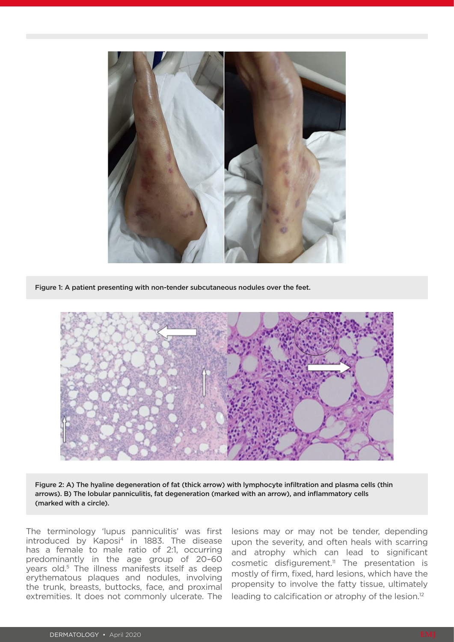

Figure 1: A patient presenting with non-tender subcutaneous nodules over the feet.



Figure 2: A) The hyaline degeneration of fat (thick arrow) with lymphocyte infiltration and plasma cells (thin arrows). B) The lobular panniculitis, fat degeneration (marked with an arrow), and inflammatory cells (marked with a circle).

The terminology 'lupus panniculitis' was first introduced by Kaposi<sup>4</sup> in 1883. The disease has a female to male ratio of 2:1, occurring predominantly in the age group of 20–60 years old.<sup>5</sup> The illness manifests itself as deep erythematous plaques and nodules, involving the trunk, breasts, buttocks, face, and proximal extremities. It does not commonly ulcerate. The

lesions may or may not be tender, depending upon the severity, and often heals with scarring and atrophy which can lead to significant cosmetic disfigurement.<sup>11</sup> The presentation is mostly of firm, fixed, hard lesions, which have the propensity to involve the fatty tissue, ultimately leading to calcification or atrophy of the lesion.<sup>12</sup>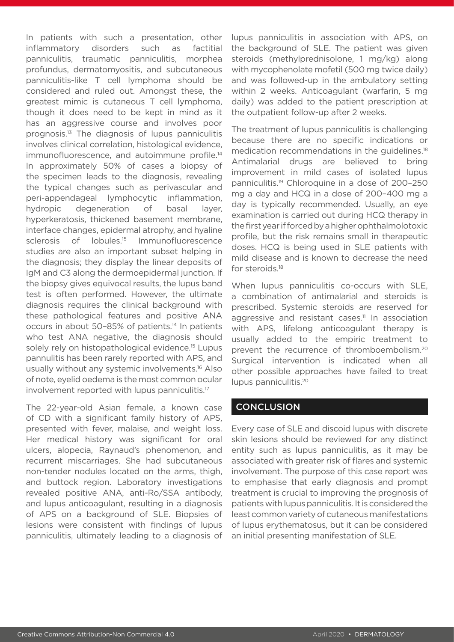In patients with such a presentation, other inflammatory disorders such as factitial panniculitis, traumatic panniculitis, morphea profundus, dermatomyositis, and subcutaneous panniculitis-like T cell lymphoma should be considered and ruled out. Amongst these, the greatest mimic is cutaneous T cell lymphoma, though it does need to be kept in mind as it has an aggressive course and involves poor prognosis.13 The diagnosis of lupus panniculitis involves clinical correlation, histological evidence, immunofluorescence, and autoimmune profile.<sup>14</sup> In approximately 50% of cases a biopsy of the specimen leads to the diagnosis, revealing the typical changes such as perivascular and peri-appendageal lymphocytic inflammation, hydropic degeneration of basal layer, hyperkeratosis, thickened basement membrane, interface changes, epidermal atrophy, and hyaline sclerosis of lobules.<sup>15</sup> Immunofluorescence studies are also an important subset helping in the diagnosis; they display the linear deposits of IgM and C3 along the dermoepidermal junction. If the biopsy gives equivocal results, the lupus band test is often performed. However, the ultimate diagnosis requires the clinical background with these pathological features and positive ANA occurs in about 50-85% of patients.<sup>14</sup> In patients who test ANA negative, the diagnosis should solely rely on histopathological evidence.<sup>15</sup> Lupus pannulitis has been rarely reported with APS, and usually without any systemic involvements.16 Also of note, eyelid oedema is the most common ocular involvement reported with lupus panniculitis.17

The 22-year-old Asian female, a known case of CD with a significant family history of APS, presented with fever, malaise, and weight loss. Her medical history was significant for oral ulcers, alopecia, Raynaud's phenomenon, and recurrent miscarriages. She had subcutaneous non-tender nodules located on the arms, thigh, and buttock region. Laboratory investigations revealed positive ANA, anti-Ro/SSA antibody, and lupus anticoagulant, resulting in a diagnosis of APS on a background of SLE. Biopsies of lesions were consistent with findings of lupus panniculitis, ultimately leading to a diagnosis of lupus panniculitis in association with APS, on the background of SLE. The patient was given steroids (methylprednisolone, 1 mg/kg) along with mycophenolate mofetil (500 mg twice daily) and was followed-up in the ambulatory setting within 2 weeks. Anticoagulant (warfarin, 5 mg daily) was added to the patient prescription at the outpatient follow-up after 2 weeks.

The treatment of lupus panniculitis is challenging because there are no specific indications or medication recommendations in the guidelines.<sup>18</sup> Antimalarial drugs are believed to bring improvement in mild cases of isolated lupus panniculitis.19 Chloroquine in a dose of 200–250 mg a day and HCQ in a dose of 200–400 mg a day is typically recommended. Usually, an eye examination is carried out during HCQ therapy in the first year if forced by a higher ophthalmolotoxic profile, but the risk remains small in therapeutic doses. HCQ is being used in SLE patients with mild disease and is known to decrease the need for steroids.18

When lupus panniculitis co-occurs with SLE. a combination of antimalarial and steroids is prescribed. Systemic steroids are reserved for aggressive and resistant cases.<sup>11</sup> In association with APS, lifelong anticoagulant therapy is usually added to the empiric treatment to prevent the recurrence of thromboembolism.20 Surgical intervention is indicated when all other possible approaches have failed to treat lupus panniculitis.20

#### **CONCLUSION**

Every case of SLE and discoid lupus with discrete skin lesions should be reviewed for any distinct entity such as lupus panniculitis, as it may be associated with greater risk of flares and systemic involvement. The purpose of this case report was to emphasise that early diagnosis and prompt treatment is crucial to improving the prognosis of patients with lupus panniculitis. It is considered the least common variety of cutaneous manifestations of lupus erythematosus, but it can be considered an initial presenting manifestation of SLE.